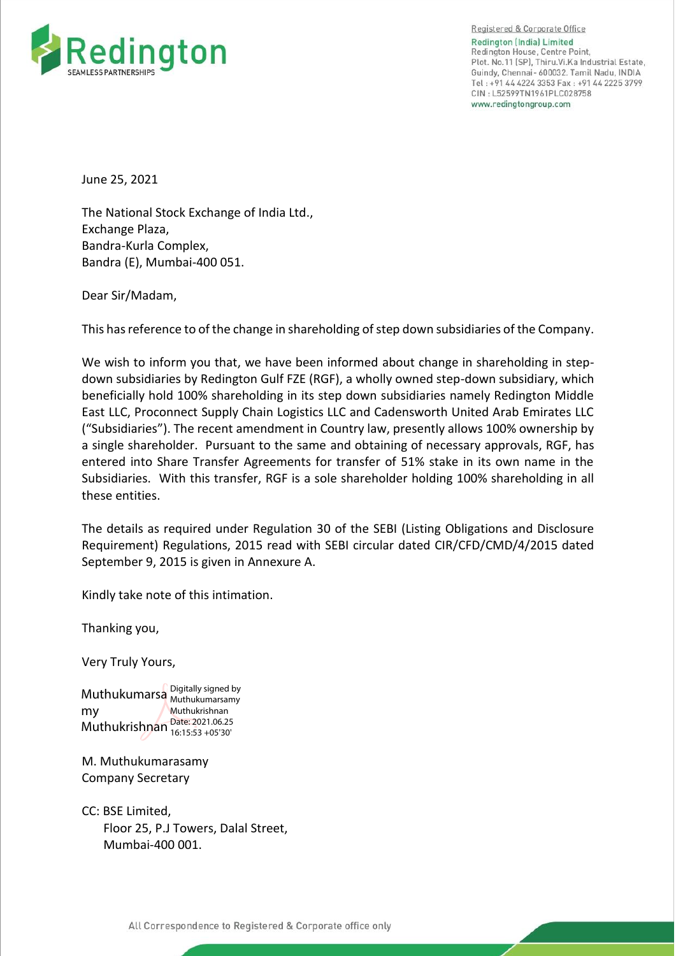

Registered & Corporate Office Redington (India) Limited Redington House, Centre Point, Plot. No. 11 [SP]. Thiru. Vi. Ka Industrial Estate. Guindy, Chennai- 600032. Tamil Nadu, INDIA Tel: +91 44 4224 3353 Fax: +91 44 2225 3799 CIN: L52599TN1961PLC028758 www.redingtongroup.com

June 25, 2021

The National Stock Exchange of India Ltd., Exchange Plaza, Bandra-Kurla Complex, Bandra (E), Mumbai-400 051.

Dear Sir/Madam,

This has reference to of the change in shareholding of step down subsidiaries of the Company.

We wish to inform you that, we have been informed about change in shareholding in stepdown subsidiaries by Redington Gulf FZE (RGF), a wholly owned step-down subsidiary, which beneficially hold 100% shareholding in its step down subsidiaries namely Redington Middle East LLC, Proconnect Supply Chain Logistics LLC and Cadensworth United Arab Emirates LLC ("Subsidiaries"). The recent amendment in Country law, presently allows 100% ownership by a single shareholder. Pursuant to the same and obtaining of necessary approvals, RGF, has entered into Share Transfer Agreements for transfer of 51% stake in its own name in the Subsidiaries. With this transfer, RGF is a sole shareholder holding 100% shareholding in all these entities.

The details as required under Regulation 30 of the SEBI (Listing Obligations and Disclosure Requirement) Regulations, 2015 read with SEBI circular dated CIR/CFD/CMD/4/2015 dated September 9, 2015 is given in Annexure A.

Kindly take note of this intimation.

Thanking you,

Very Truly Yours,

Muthukumarsa Digitally signed by my Muthukrishnan  $\frac{\text{Date: }2021.06.25}{16.15.53 + 0.530}$ Muthukumarsamy Muthukrishnan 16:15:53 +05'30'

M. Muthukumarasamy Company Secretary

CC: BSE Limited, Floor 25, P.J Towers, Dalal Street, Mumbai-400 001.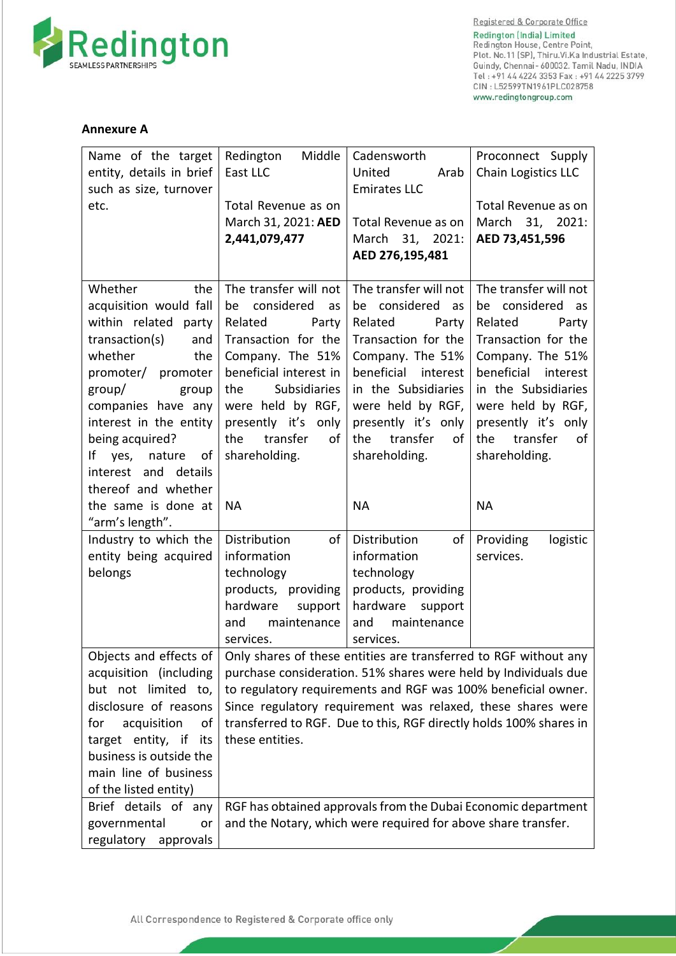

Registered & Corporate Office **Redington (India) Limited** Redington House, Centre Point,<br>Plot. No.11 (SP), Thiru.Vi.Ka Industrial Estate, Guindy, Chennai-600032. Tamil Nadu, INDIA<br>Tel:+91 44 4224 3353 Fax:+91 44 2225 3799 CIN: L52599TN1961PLC028758 www.redingtongroup.com

## **Annexure A**

| Name of the target<br>entity, details in brief<br>such as size, turnover<br>etc.                                                                                                                                                                                                                                                               | Middle<br>Redington<br>East LLC<br>Total Revenue as on<br>March 31, 2021: AED<br>2,441,079,477                                                                                                                                                                                                                                                                                                                                                                                                 | Cadensworth<br>United<br>Arab<br><b>Emirates LLC</b><br>Total Revenue as on<br>March 31, 2021:<br>AED 276,195,481                                                                                                                                               | Proconnect Supply<br>Chain Logistics LLC<br>Total Revenue as on<br>March 31, 2021:<br>AED 73,451,596                                                                                                                                                            |
|------------------------------------------------------------------------------------------------------------------------------------------------------------------------------------------------------------------------------------------------------------------------------------------------------------------------------------------------|------------------------------------------------------------------------------------------------------------------------------------------------------------------------------------------------------------------------------------------------------------------------------------------------------------------------------------------------------------------------------------------------------------------------------------------------------------------------------------------------|-----------------------------------------------------------------------------------------------------------------------------------------------------------------------------------------------------------------------------------------------------------------|-----------------------------------------------------------------------------------------------------------------------------------------------------------------------------------------------------------------------------------------------------------------|
| Whether<br>the<br>acquisition would fall<br>within related party<br>transaction(s)<br>and<br>whether<br>the<br>promoter/ promoter<br>group/<br>group<br>companies have any<br>interest in the entity<br>being acquired?<br>١f<br>nature<br>yes,<br>of<br>interest and details<br>thereof and whether<br>the same is done at<br>"arm's length". | The transfer will not<br>considered<br>be<br>as<br>Related<br>Party<br>Transaction for the<br>Company. The 51%<br>beneficial interest in<br><b>Subsidiaries</b><br>the<br>were held by RGF,<br>presently it's<br>only<br>transfer<br>the<br>of<br>shareholding.<br><b>NA</b>                                                                                                                                                                                                                   | The transfer will not<br>be considered<br>as<br>Related<br>Party<br>Transaction for the<br>Company. The 51%<br>beneficial<br>interest<br>in the Subsidiaries<br>were held by RGF,<br>presently it's only<br>transfer<br>the<br>of<br>shareholding.<br><b>NA</b> | The transfer will not<br>be considered<br>as<br>Related<br>Party<br>Transaction for the<br>Company. The 51%<br>beneficial<br>interest<br>in the Subsidiaries<br>were held by RGF,<br>presently it's only<br>transfer<br>the<br>of<br>shareholding.<br><b>NA</b> |
| Industry to which the<br>entity being acquired<br>belongs                                                                                                                                                                                                                                                                                      | Distribution<br>of<br>information<br>technology<br>products, providing<br>hardware<br>support<br>maintenance<br>and<br>services.                                                                                                                                                                                                                                                                                                                                                               | Distribution<br>of<br>information<br>technology<br>products, providing<br>hardware<br>support<br>maintenance<br>and<br>services.                                                                                                                                | Providing<br>logistic<br>services.                                                                                                                                                                                                                              |
| Objects and effects of<br>acquisition (including<br>but not limited to,<br>disclosure of reasons<br>acquisition<br>for<br>οf<br>target entity, if<br>its<br>business is outside the<br>main line of business<br>of the listed entity)<br>Brief details of any<br>governmental                                                                  | Only shares of these entities are transferred to RGF without any<br>purchase consideration. 51% shares were held by Individuals due<br>to regulatory requirements and RGF was 100% beneficial owner.<br>Since regulatory requirement was relaxed, these shares were<br>transferred to RGF. Due to this, RGF directly holds 100% shares in<br>these entities.<br>RGF has obtained approvals from the Dubai Economic department<br>and the Notary, which were required for above share transfer. |                                                                                                                                                                                                                                                                 |                                                                                                                                                                                                                                                                 |
| or<br>regulatory<br>approvals                                                                                                                                                                                                                                                                                                                  |                                                                                                                                                                                                                                                                                                                                                                                                                                                                                                |                                                                                                                                                                                                                                                                 |                                                                                                                                                                                                                                                                 |